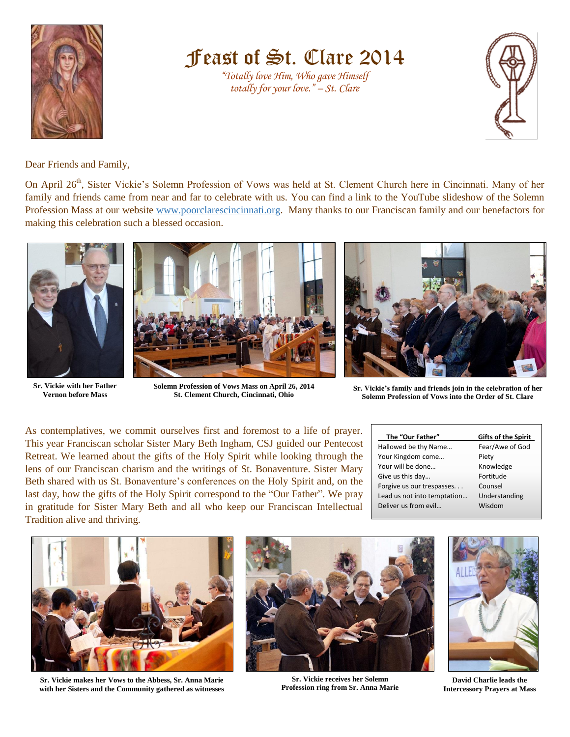

Feast of St. Clare 2014

*"Totally love Him, Who gave Himself totally for your love." – St. Clare*



Dear Friends and Family,

On April 26<sup>th</sup>, Sister Vickie's Solemn Profession of Vows was held at St. Clement Church here in Cincinnati. Many of her family and friends came from near and far to celebrate with us. You can find a link to the YouTube slideshow of the Solemn Profession Mass at our website [www.poorclarescincinnati.org.](http://www.poorclarescincinnati.org/) Many thanks to our Franciscan family and our benefactors for making this celebration such a blessed occasion.



**Sr. Vickie with her Father Vernon before Mass** 



**Solemn Profession of Vows Mass on April 26, 2014 St. Clement Church, Cincinnati, Ohio**



**Sr. Vickie's family and friends join in the celebration of her Solemn Profession of Vows into the Order of St. Clare**

As contemplatives, we commit ourselves first and foremost to a life of prayer. This year Franciscan scholar Sister Mary Beth Ingham, CSJ guided our Pentecost Retreat. We learned about the gifts of the Holy Spirit while looking through the lens of our Franciscan charism and the writings of St. Bonaventure. Sister Mary Beth shared with us St. Bonaventure's conferences on the Holy Spirit and, on the last day, how the gifts of the Holy Spirit correspond to the "Our Father". We pray in gratitude for Sister Mary Beth and all who keep our Franciscan Intellectual Tradition alive and thriving.

| Gifts of the Spirit |
|---------------------|
| Fear/Awe of God     |
| Piety               |
| Knowledge           |
| Fortitude           |
| Counsel             |
| Understanding       |
| Wisdom              |
|                     |



**Sr. Vickie makes her Vows to the Abbess, Sr. Anna Marie with her Sisters and the Community gathered as witnesses**



**Sr. Vickie receives her Solemn Profession ring from Sr. Anna Marie**



**David Charlie leads the Intercessory Prayers at Mass**